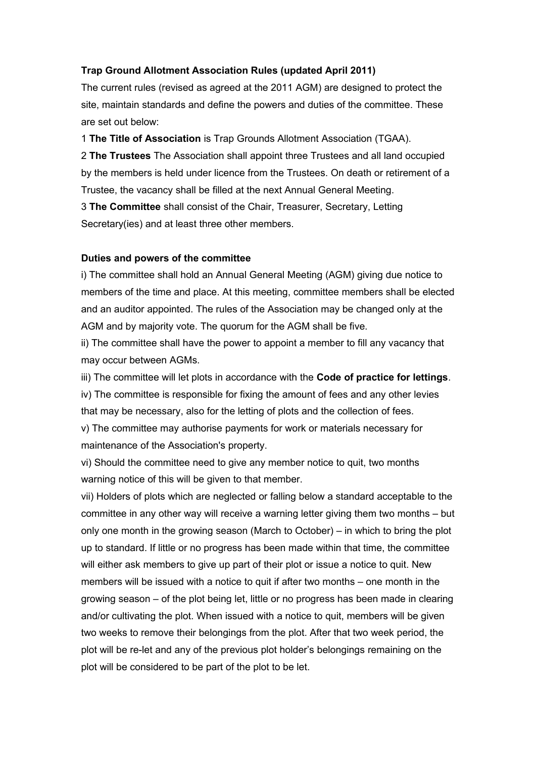## **Trap Ground Allotment Association Rules (updated April 2011)**

The current rules (revised as agreed at the 2011 AGM) are designed to protect the site, maintain standards and define the powers and duties of the committee. These are set out below:

1 **The Title of Association** is Trap Grounds Allotment Association (TGAA).

2 **The Trustees** The Association shall appoint three Trustees and all land occupied by the members is held under licence from the Trustees. On death or retirement of a Trustee, the vacancy shall be filled at the next Annual General Meeting.

3 **The Committee** shall consist of the Chair, Treasurer, Secretary, Letting Secretary(ies) and at least three other members.

## **Duties and powers of the committee**

i) The committee shall hold an Annual General Meeting (AGM) giving due notice to members of the time and place. At this meeting, committee members shall be elected and an auditor appointed. The rules of the Association may be changed only at the AGM and by majority vote. The quorum for the AGM shall be five.

ii) The committee shall have the power to appoint a member to fill any vacancy that may occur between AGMs.

iii) The committee will let plots in accordance with the **Code of practice for lettings**. iv) The committee is responsible for fixing the amount of fees and any other levies that may be necessary, also for the letting of plots and the collection of fees.

v) The committee may authorise payments for work or materials necessary for maintenance of the Association's property.

vi) Should the committee need to give any member notice to quit, two months warning notice of this will be given to that member.

vii) Holders of plots which are neglected or falling below a standard acceptable to the committee in any other way will receive a warning letter giving them two months – but only one month in the growing season (March to October) – in which to bring the plot up to standard. If little or no progress has been made within that time, the committee will either ask members to give up part of their plot or issue a notice to quit. New members will be issued with a notice to quit if after two months – one month in the growing season – of the plot being let, little or no progress has been made in clearing and/or cultivating the plot. When issued with a notice to quit, members will be given two weeks to remove their belongings from the plot. After that two week period, the plot will be re-let and any of the previous plot holder's belongings remaining on the plot will be considered to be part of the plot to be let.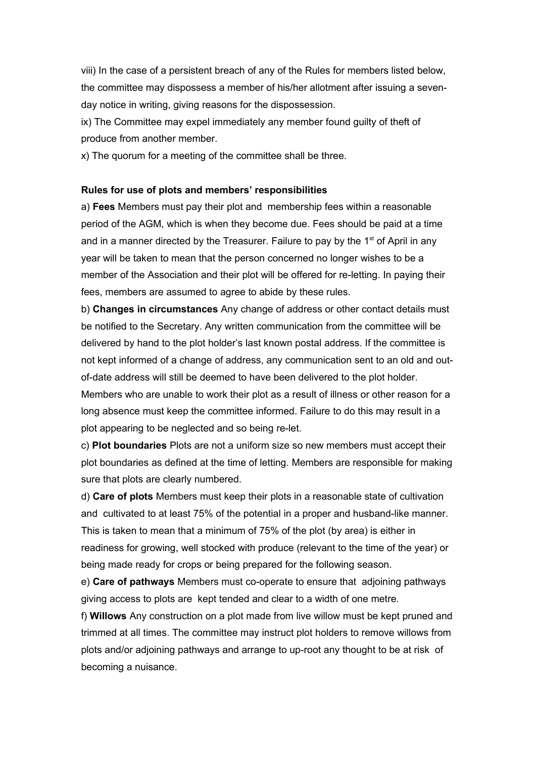viii) In the case of a persistent breach of any of the Rules for members listed below, the committee may dispossess a member of his/her allotment after issuing a sevenday notice in writing, giving reasons for the dispossession.

ix) The Committee may expel immediately any member found guilty of theft of produce from another member.

x) The quorum for a meeting of the committee shall be three.

## **Rules for use of plots and members' responsibilities**

a) **Fees** Members must pay their plot and membership fees within a reasonable period of the AGM, which is when they become due. Fees should be paid at a time and in a manner directed by the Treasurer. Failure to pay by the  $1<sup>st</sup>$  of April in any year will be taken to mean that the person concerned no longer wishes to be a member of the Association and their plot will be offered for re-letting. In paying their fees, members are assumed to agree to abide by these rules.

b) **Changes in circumstances** Any change of address or other contact details must be notified to the Secretary. Any written communication from the committee will be delivered by hand to the plot holder's last known postal address. If the committee is not kept informed of a change of address, any communication sent to an old and outof-date address will still be deemed to have been delivered to the plot holder. Members who are unable to work their plot as a result of illness or other reason for a long absence must keep the committee informed. Failure to do this may result in a plot appearing to be neglected and so being re-let.

c) **Plot boundaries** Plots are not a uniform size so new members must accept their plot boundaries as defined at the time of letting. Members are responsible for making sure that plots are clearly numbered.

d) **Care of plots** Members must keep their plots in a reasonable state of cultivation and cultivated to at least 75% of the potential in a proper and husband-like manner. This is taken to mean that a minimum of 75% of the plot (by area) is either in readiness for growing, well stocked with produce (relevant to the time of the year) or being made ready for crops or being prepared for the following season.

e) **Care of pathways** Members must co-operate to ensure that adjoining pathways giving access to plots are kept tended and clear to a width of one metre.

f) **Willows** Any construction on a plot made from live willow must be kept pruned and trimmed at all times. The committee may instruct plot holders to remove willows from plots and/or adjoining pathways and arrange to up-root any thought to be at risk of becoming a nuisance.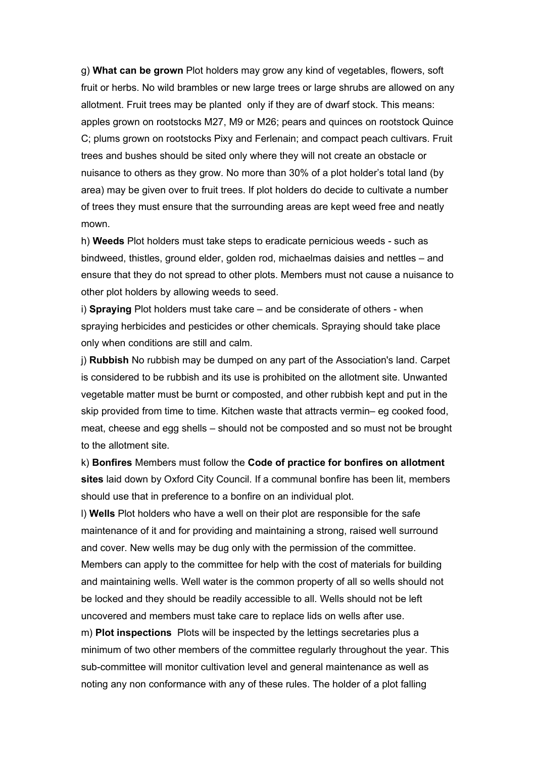g) **What can be grown** Plot holders may grow any kind of vegetables, flowers, soft fruit or herbs. No wild brambles or new large trees or large shrubs are allowed on any allotment. Fruit trees may be planted only if they are of dwarf stock. This means: apples grown on rootstocks M27, M9 or M26; pears and quinces on rootstock Quince C; plums grown on rootstocks Pixy and Ferlenain; and compact peach cultivars. Fruit trees and bushes should be sited only where they will not create an obstacle or nuisance to others as they grow. No more than 30% of a plot holder's total land (by area) may be given over to fruit trees. If plot holders do decide to cultivate a number of trees they must ensure that the surrounding areas are kept weed free and neatly mown.

h) **Weeds** Plot holders must take steps to eradicate pernicious weeds - such as bindweed, thistles, ground elder, golden rod, michaelmas daisies and nettles – and ensure that they do not spread to other plots. Members must not cause a nuisance to other plot holders by allowing weeds to seed.

i) **Spraying** Plot holders must take care – and be considerate of others - when spraying herbicides and pesticides or other chemicals. Spraying should take place only when conditions are still and calm.

j) **Rubbish** No rubbish may be dumped on any part of the Association's land. Carpet is considered to be rubbish and its use is prohibited on the allotment site. Unwanted vegetable matter must be burnt or composted, and other rubbish kept and put in the skip provided from time to time. Kitchen waste that attracts vermin– eg cooked food, meat, cheese and egg shells – should not be composted and so must not be brought to the allotment site.

k) **Bonfires** Members must follow the **Code of practice for bonfires on allotment sites** laid down by Oxford City Council. If a communal bonfire has been lit, members should use that in preference to a bonfire on an individual plot.

l) **Wells** Plot holders who have a well on their plot are responsible for the safe maintenance of it and for providing and maintaining a strong, raised well surround and cover. New wells may be dug only with the permission of the committee. Members can apply to the committee for help with the cost of materials for building and maintaining wells. Well water is the common property of all so wells should not be locked and they should be readily accessible to all. Wells should not be left uncovered and members must take care to replace lids on wells after use.

m) **Plot inspections** Plots will be inspected by the lettings secretaries plus a minimum of two other members of the committee regularly throughout the year. This sub-committee will monitor cultivation level and general maintenance as well as noting any non conformance with any of these rules. The holder of a plot falling